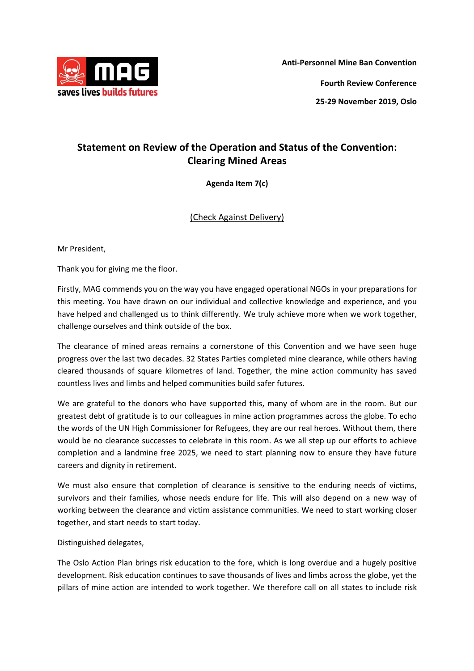

**Anti‐Personnel Mine Ban Convention Fourth Review Conference** 

**25‐29 November 2019, Oslo**

## **Statement on Review of the Operation and Status of the Convention: Clearing Mined Areas**

**Agenda Item 7(c)**

(Check Against Delivery)

Mr President,

Thank you for giving me the floor.

Firstly, MAG commends you on the way you have engaged operational NGOs in your preparations for this meeting. You have drawn on our individual and collective knowledge and experience, and you have helped and challenged us to think differently. We truly achieve more when we work together, challenge ourselves and think outside of the box.

The clearance of mined areas remains a cornerstone of this Convention and we have seen huge progress over the last two decades. 32 States Parties completed mine clearance, while others having cleared thousands of square kilometres of land. Together, the mine action community has saved countless lives and limbs and helped communities build safer futures.

We are grateful to the donors who have supported this, many of whom are in the room. But our greatest debt of gratitude is to our colleagues in mine action programmes across the globe. To echo the words of the UN High Commissioner for Refugees, they are our real heroes. Without them, there would be no clearance successes to celebrate in this room. As we all step up our efforts to achieve completion and a landmine free 2025, we need to start planning now to ensure they have future careers and dignity in retirement.

We must also ensure that completion of clearance is sensitive to the enduring needs of victims, survivors and their families, whose needs endure for life. This will also depend on a new way of working between the clearance and victim assistance communities. We need to start working closer together, and start needs to start today.

## Distinguished delegates,

The Oslo Action Plan brings risk education to the fore, which is long overdue and a hugely positive development. Risk education continues to save thousands of lives and limbs across the globe, yet the pillars of mine action are intended to work together. We therefore call on all states to include risk